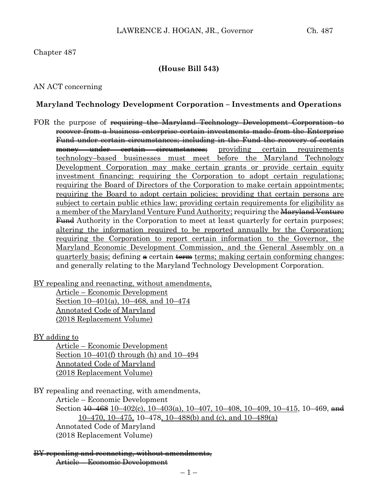#### Chapter 487

#### **(House Bill 543)**

#### AN ACT concerning

#### **Maryland Technology Development Corporation – Investments and Operations**

FOR the purpose of requiring the Maryland Technology Development Corporation to recover from a business enterprise certain investments made from the Enterprise Fund under certain circumstances; including in the Fund the recovery of certain money under certain circumstances; providing certain requirements technology–based businesses must meet before the Maryland Technology Development Corporation may make certain grants or provide certain equity investment financing; requiring the Corporation to adopt certain regulations; requiring the Board of Directors of the Corporation to make certain appointments; requiring the Board to adopt certain policies; providing that certain persons are subject to certain public ethics law; providing certain requirements for eligibility as a member of the Maryland Venture Fund Authority; requiring the Maryland Venture **Fund** Authority in the Corporation to meet at least quarterly for certain purposes; altering the information required to be reported annually by the Corporation; requiring the Corporation to report certain information to the Governor, the Maryland Economic Development Commission, and the General Assembly on a quarterly basis; defining  $\triangle$  certain  $\triangle$  terms; making certain conforming changes; and generally relating to the Maryland Technology Development Corporation.

BY repealing and reenacting, without amendments,

Article – Economic Development Section 10–401(a), 10–468, and 10–474 Annotated Code of Maryland (2018 Replacement Volume)

BY adding to

Article – Economic Development Section 10–401(f) through (h) and 10–494 Annotated Code of Maryland (2018 Replacement Volume)

BY repealing and reenacting, with amendments,

Article – Economic Development Section  $\frac{10-468}{10-402(c)}$ ,  $10-403(a)$ ,  $10-407$ ,  $10-408$ ,  $10-409$ ,  $10-415$ ,  $10-469$ , and  $10-470$ ,  $10-475$ ,  $10-478$ ,  $10-488$ (b) and (c), and  $10-489$ (a) Annotated Code of Maryland (2018 Replacement Volume)

BY repealing and reenacting, without amendments, Article – Economic Development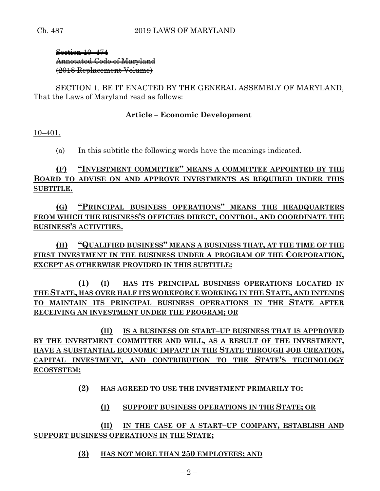Section 10–474 Annotated Code of Maryland (2018 Replacement Volume)

SECTION 1. BE IT ENACTED BY THE GENERAL ASSEMBLY OF MARYLAND, That the Laws of Maryland read as follows:

## **Article – Economic Development**

10–401.

(a) In this subtitle the following words have the meanings indicated.

**(F) "INVESTMENT COMMITTEE" MEANS A COMMITTEE APPOINTED BY THE BOARD TO ADVISE ON AND APPROVE INVESTMENTS AS REQUIRED UNDER THIS SUBTITLE.**

**(G) "PRINCIPAL BUSINESS OPERATIONS" MEANS THE HEADQUARTERS FROM WHICH THE BUSINESS'S OFFICERS DIRECT, CONTROL, AND COORDINATE THE BUSINESS'S ACTIVITIES.**

**(H) "QUALIFIED BUSINESS" MEANS A BUSINESS THAT, AT THE TIME OF THE FIRST INVESTMENT IN THE BUSINESS UNDER A PROGRAM OF THE CORPORATION, EXCEPT AS OTHERWISE PROVIDED IN THIS SUBTITLE:**

**(1) (I) HAS ITS PRINCIPAL BUSINESS OPERATIONS LOCATED IN THE STATE, HAS OVER HALF ITS WORKFORCE WORKING IN THE STATE, AND INTENDS TO MAINTAIN ITS PRINCIPAL BUSINESS OPERATIONS IN THE STATE AFTER RECEIVING AN INVESTMENT UNDER THE PROGRAM; OR**

**(II) IS A BUSINESS OR START–UP BUSINESS THAT IS APPROVED BY THE INVESTMENT COMMITTEE AND WILL, AS A RESULT OF THE INVESTMENT, HAVE A SUBSTANTIAL ECONOMIC IMPACT IN THE STATE THROUGH JOB CREATION, CAPITAL INVESTMENT, AND CONTRIBUTION TO THE STATE'S TECHNOLOGY ECOSYSTEM;**

**(2) HAS AGREED TO USE THE INVESTMENT PRIMARILY TO:**

**(I) SUPPORT BUSINESS OPERATIONS IN THE STATE; OR**

**(II) IN THE CASE OF A START–UP COMPANY, ESTABLISH AND SUPPORT BUSINESS OPERATIONS IN THE STATE;**

**(3) HAS NOT MORE THAN 250 EMPLOYEES; AND**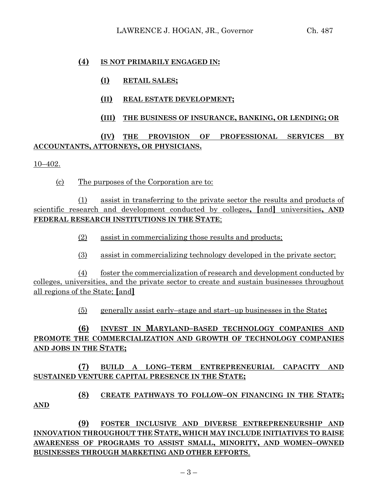#### **(4) IS NOT PRIMARILY ENGAGED IN:**

- **(I) RETAIL SALES;**
- **(II) REAL ESTATE DEVELOPMENT;**

## **(III) THE BUSINESS OF INSURANCE, BANKING, OR LENDING; OR**

# **(IV) THE PROVISION OF PROFESSIONAL SERVICES BY ACCOUNTANTS, ATTORNEYS, OR PHYSICIANS.**

10–402.

(c) The purposes of the Corporation are to:

(1) assist in transferring to the private sector the results and products of scientific research and development conducted by colleges**, [**and**]** universities**, AND FEDERAL RESEARCH INSTITUTIONS IN THE STATE**;

- (2) assist in commercializing those results and products;
- (3) assist in commercializing technology developed in the private sector;

(4) foster the commercialization of research and development conducted by colleges, universities, and the private sector to create and sustain businesses throughout all regions of the State; **[**and**]**

(5) generally assist early–stage and start–up businesses in the State**;**

# **(6) INVEST IN MARYLAND–BASED TECHNOLOGY COMPANIES AND PROMOTE THE COMMERCIALIZATION AND GROWTH OF TECHNOLOGY COMPANIES AND JOBS IN THE STATE;**

**(7) BUILD A LONG–TERM ENTREPRENEURIAL CAPACITY AND SUSTAINED VENTURE CAPITAL PRESENCE IN THE STATE;**

# **(8) CREATE PATHWAYS TO FOLLOW–ON FINANCING IN THE STATE; AND**

**(9) FOSTER INCLUSIVE AND DIVERSE ENTREPRENEURSHIP AND INNOVATION THROUGHOUT THE STATE, WHICH MAY INCLUDE INITIATIVES TO RAISE AWARENESS OF PROGRAMS TO ASSIST SMALL, MINORITY, AND WOMEN–OWNED BUSINESSES THROUGH MARKETING AND OTHER EFFORTS**.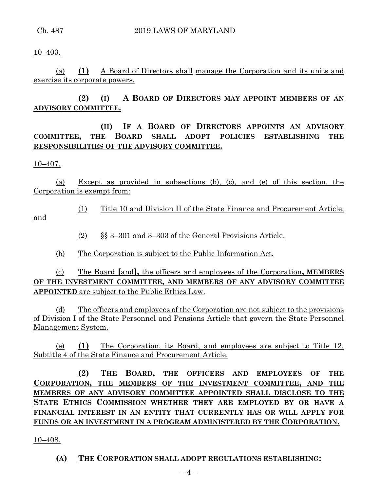10–403.

(a) **(1)** A Board of Directors shall manage the Corporation and its units and exercise its corporate powers.

# **(2) (I) A BOARD OF DIRECTORS MAY APPOINT MEMBERS OF AN ADVISORY COMMITTEE.**

# **(II) IF A BOARD OF DIRECTORS APPOINTS AN ADVISORY COMMITTEE, THE BOARD SHALL ADOPT POLICIES ESTABLISHING THE RESPONSIBILITIES OF THE ADVISORY COMMITTEE.**

10–407.

(a) Except as provided in subsections (b), (c), and (e) of this section, the Corporation is exempt from:

(1) Title 10 and Division II of the State Finance and Procurement Article;

and

- (2) §§ 3–301 and 3–303 of the General Provisions Article.
- (b) The Corporation is subject to the Public Information Act.

(c) The Board **[**and**],** the officers and employees of the Corporation**, MEMBERS OF THE INVESTMENT COMMITTEE, AND MEMBERS OF ANY ADVISORY COMMITTEE APPOINTED** are subject to the Public Ethics Law.

(d) The officers and employees of the Corporation are not subject to the provisions of Division I of the State Personnel and Pensions Article that govern the State Personnel Management System.

(e) **(1)** The Corporation, its Board, and employees are subject to Title 12, Subtitle 4 of the State Finance and Procurement Article.

**(2) THE BOARD, THE OFFICERS AND EMPLOYEES OF THE CORPORATION, THE MEMBERS OF THE INVESTMENT COMMITTEE, AND THE MEMBERS OF ANY ADVISORY COMMITTEE APPOINTED SHALL DISCLOSE TO THE STATE ETHICS COMMISSION WHETHER THEY ARE EMPLOYED BY OR HAVE A FINANCIAL INTEREST IN AN ENTITY THAT CURRENTLY HAS OR WILL APPLY FOR FUNDS OR AN INVESTMENT IN A PROGRAM ADMINISTERED BY THE CORPORATION.**

10–408.

**(A) THE CORPORATION SHALL ADOPT REGULATIONS ESTABLISHING:**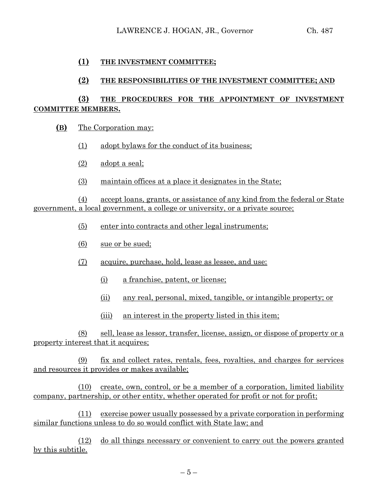#### **(1) THE INVESTMENT COMMITTEE;**

#### **(2) THE RESPONSIBILITIES OF THE INVESTMENT COMMITTEE; AND**

## **(3) THE PROCEDURES FOR THE APPOINTMENT OF INVESTMENT COMMITTEE MEMBERS.**

- **(B)** The Corporation may:
	- (1) adopt bylaws for the conduct of its business;
	- (2) adopt a seal;
	- (3) maintain offices at a place it designates in the State;

(4) accept loans, grants, or assistance of any kind from the federal or State government, a local government, a college or university, or a private source;

- (5) enter into contracts and other legal instruments;
- (6) sue or be sued;
- (7) acquire, purchase, hold, lease as lessee, and use:
	- (i) a franchise, patent, or license;
	- (ii) any real, personal, mixed, tangible, or intangible property; or
	- (iii) an interest in the property listed in this item;

(8) sell, lease as lessor, transfer, license, assign, or dispose of property or a property interest that it acquires:

(9) fix and collect rates, rentals, fees, royalties, and charges for services and resources it provides or makes available;

(10) create, own, control, or be a member of a corporation, limited liability company, partnership, or other entity, whether operated for profit or not for profit;

(11) exercise power usually possessed by a private corporation in performing similar functions unless to do so would conflict with State law; and

(12) do all things necessary or convenient to carry out the powers granted by this subtitle.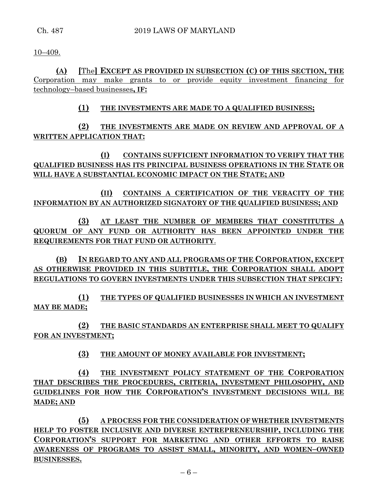10–409.

**(A) [**The**] EXCEPT AS PROVIDED IN SUBSECTION (C) OF THIS SECTION, THE**  Corporation may make grants to or provide equity investment financing for technology–based businesses**, IF:**

# **(1) THE INVESTMENTS ARE MADE TO A QUALIFIED BUSINESS;**

**(2) THE INVESTMENTS ARE MADE ON REVIEW AND APPROVAL OF A WRITTEN APPLICATION THAT:**

**(I) CONTAINS SUFFICIENT INFORMATION TO VERIFY THAT THE QUALIFIED BUSINESS HAS ITS PRINCIPAL BUSINESS OPERATIONS IN THE STATE OR WILL HAVE A SUBSTANTIAL ECONOMIC IMPACT ON THE STATE; AND** 

**(II) CONTAINS A CERTIFICATION OF THE VERACITY OF THE INFORMATION BY AN AUTHORIZED SIGNATORY OF THE QUALIFIED BUSINESS; AND**

**(3) AT LEAST THE NUMBER OF MEMBERS THAT CONSTITUTES A QUORUM OF ANY FUND OR AUTHORITY HAS BEEN APPOINTED UNDER THE REQUIREMENTS FOR THAT FUND OR AUTHORITY**.

**(B) IN REGARD TO ANY AND ALL PROGRAMS OF THE CORPORATION, EXCEPT AS OTHERWISE PROVIDED IN THIS SUBTITLE, THE CORPORATION SHALL ADOPT REGULATIONS TO GOVERN INVESTMENTS UNDER THIS SUBSECTION THAT SPECIFY:**

**(1) THE TYPES OF QUALIFIED BUSINESSES IN WHICH AN INVESTMENT MAY BE MADE;**

**(2) THE BASIC STANDARDS AN ENTERPRISE SHALL MEET TO QUALIFY FOR AN INVESTMENT;**

**(3) THE AMOUNT OF MONEY AVAILABLE FOR INVESTMENT;**

**(4) THE INVESTMENT POLICY STATEMENT OF THE CORPORATION THAT DESCRIBES THE PROCEDURES, CRITERIA, INVESTMENT PHILOSOPHY, AND GUIDELINES FOR HOW THE CORPORATION'S INVESTMENT DECISIONS WILL BE MADE; AND**

**(5) A PROCESS FOR THE CONSIDERATION OF WHETHER INVESTMENTS HELP TO FOSTER INCLUSIVE AND DIVERSE ENTREPRENEURSHIP, INCLUDING THE CORPORATION'S SUPPORT FOR MARKETING AND OTHER EFFORTS TO RAISE AWARENESS OF PROGRAMS TO ASSIST SMALL, MINORITY, AND WOMEN–OWNED BUSINESSES.**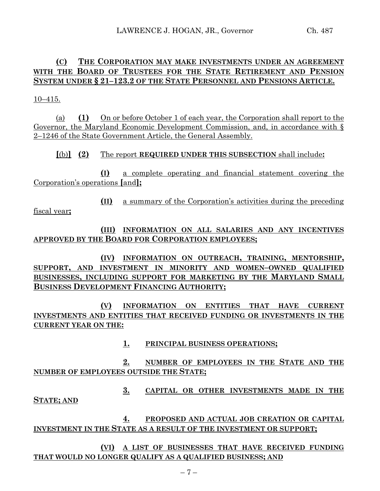# **(C) THE CORPORATION MAY MAKE INVESTMENTS UNDER AN AGREEMENT WITH THE BOARD OF TRUSTEES FOR THE STATE RETIREMENT AND PENSION SYSTEM UNDER § 21–123.2 OF THE STATE PERSONNEL AND PENSIONS ARTICLE.**

10–415.

(a) **(1)** On or before October 1 of each year, the Corporation shall report to the Governor, the Maryland Economic Development Commission, and, in accordance with § 2–1246 of the State Government Article, the General Assembly.

**[**(b)**] (2)** The report **REQUIRED UNDER THIS SUBSECTION** shall include**:**

**(I)** a complete operating and financial statement covering the Corporation's operations **[**and**];**

**(II)** a summary of the Corporation's activities during the preceding fiscal year**;**

**(III) INFORMATION ON ALL SALARIES AND ANY INCENTIVES APPROVED BY THE BOARD FOR CORPORATION EMPLOYEES;**

**(IV) INFORMATION ON OUTREACH, TRAINING, MENTORSHIP, SUPPORT, AND INVESTMENT IN MINORITY AND WOMEN–OWNED QUALIFIED BUSINESSES, INCLUDING SUPPORT FOR MARKETING BY THE MARYLAND SMALL BUSINESS DEVELOPMENT FINANCING AUTHORITY;**

**(V) INFORMATION ON ENTITIES THAT HAVE CURRENT INVESTMENTS AND ENTITIES THAT RECEIVED FUNDING OR INVESTMENTS IN THE CURRENT YEAR ON THE:**

**1. PRINCIPAL BUSINESS OPERATIONS;**

**2. NUMBER OF EMPLOYEES IN THE STATE AND THE NUMBER OF EMPLOYEES OUTSIDE THE STATE;**

**3. CAPITAL OR OTHER INVESTMENTS MADE IN THE STATE; AND**

**4. PROPOSED AND ACTUAL JOB CREATION OR CAPITAL INVESTMENT IN THE STATE AS A RESULT OF THE INVESTMENT OR SUPPORT;**

**(VI) A LIST OF BUSINESSES THAT HAVE RECEIVED FUNDING THAT WOULD NO LONGER QUALIFY AS A QUALIFIED BUSINESS; AND**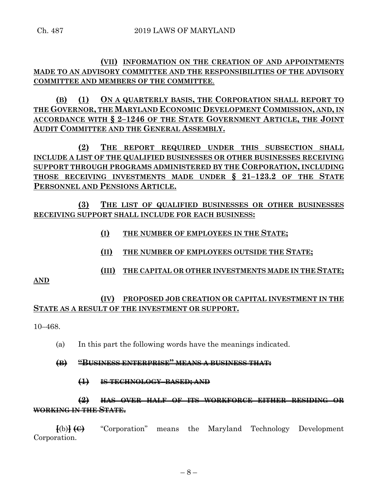## **(VII) INFORMATION ON THE CREATION OF AND APPOINTMENTS MADE TO AN ADVISORY COMMITTEE AND THE RESPONSIBILITIES OF THE ADVISORY COMMITTEE AND MEMBERS OF THE COMMITTEE**.

**(B) (1) ON A QUARTERLY BASIS, THE CORPORATION SHALL REPORT TO THE GOVERNOR, THE MARYLAND ECONOMIC DEVELOPMENT COMMISSION, AND, IN ACCORDANCE WITH § 2–1246 OF THE STATE GOVERNMENT ARTICLE, THE JOINT AUDIT COMMITTEE AND THE GENERAL ASSEMBLY.**

**(2) THE REPORT REQUIRED UNDER THIS SUBSECTION SHALL INCLUDE A LIST OF THE QUALIFIED BUSINESSES OR OTHER BUSINESSES RECEIVING SUPPORT THROUGH PROGRAMS ADMINISTERED BY THE CORPORATION, INCLUDING THOSE RECEIVING INVESTMENTS MADE UNDER § 21–123.2 OF THE STATE PERSONNEL AND PENSIONS ARTICLE.**

**(3) THE LIST OF QUALIFIED BUSINESSES OR OTHER BUSINESSES RECEIVING SUPPORT SHALL INCLUDE FOR EACH BUSINESS:**

- **(I) THE NUMBER OF EMPLOYEES IN THE STATE;**
- **(II) THE NUMBER OF EMPLOYEES OUTSIDE THE STATE;**
- **(III) THE CAPITAL OR OTHER INVESTMENTS MADE IN THE STATE;**

**AND**

## **(IV) PROPOSED JOB CREATION OR CAPITAL INVESTMENT IN THE STATE AS A RESULT OF THE INVESTMENT OR SUPPORT.**

10–468.

- (a) In this part the following words have the meanings indicated.
- **(B) "BUSINESS ENTERPRISE" MEANS A BUSINESS THAT:**
	- **(1) IS TECHNOLOGY–BASED; AND**

# **(2) HAS OVER HALF OF ITS WORKFORCE EITHER RESIDING OR WORKING IN THE STATE.**

**[**(b)**] (C)** "Corporation" means the Maryland Technology Development Corporation.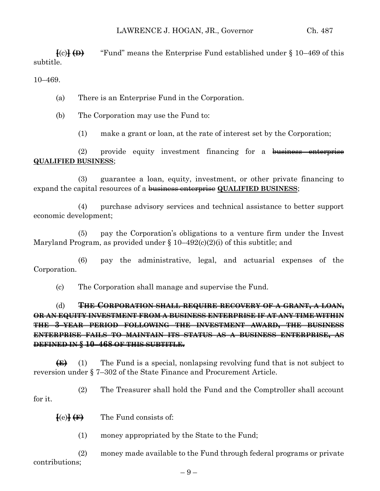$\{c\}$   $\{\Theta\}$  "Fund" means the Enterprise Fund established under § 10–469 of this subtitle.

10–469.

(a) There is an Enterprise Fund in the Corporation.

(b) The Corporation may use the Fund to:

(1) make a grant or loan, at the rate of interest set by the Corporation;

(2) provide equity investment financing for a business enterprise **QUALIFIED BUSINESS**;

(3) guarantee a loan, equity, investment, or other private financing to expand the capital resources of a business enterprise **QUALIFIED BUSINESS**;

(4) purchase advisory services and technical assistance to better support economic development;

(5) pay the Corporation's obligations to a venture firm under the Invest Maryland Program, as provided under  $\S 10-492(c)(2)(i)$  of this subtitle; and

(6) pay the administrative, legal, and actuarial expenses of the Corporation.

(c) The Corporation shall manage and supervise the Fund.

(d) **THE CORPORATION SHALL REQUIRE RECOVERY OF A GRANT, A LOAN, OR AN EQUITY INVESTMENT FROM A BUSINESS ENTERPRISE IF AT ANY TIME WITHIN THE 3–YEAR PERIOD FOLLOWING THE INVESTMENT AWARD, THE BUSINESS ENTERPRISE FAILS TO MAINTAIN ITS STATUS AS A BUSINESS ENTERPRISE, AS DEFINED IN § 10–468 OF THIS SUBTITLE.**

**(E)** (1) The Fund is a special, nonlapsing revolving fund that is not subject to reversion under § 7–302 of the State Finance and Procurement Article.

(2) The Treasurer shall hold the Fund and the Comptroller shall account for it.

 $\{e\}$   $\{F\}$  The Fund consists of:

(1) money appropriated by the State to the Fund;

(2) money made available to the Fund through federal programs or private contributions;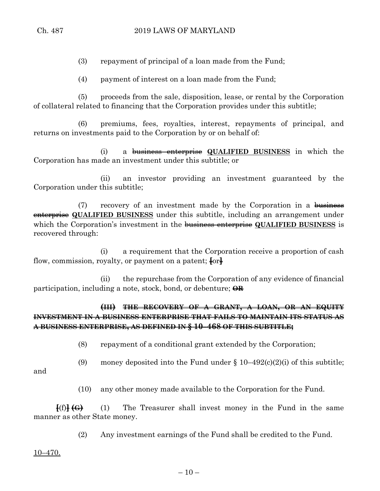(3) repayment of principal of a loan made from the Fund;

(4) payment of interest on a loan made from the Fund;

(5) proceeds from the sale, disposition, lease, or rental by the Corporation of collateral related to financing that the Corporation provides under this subtitle;

(6) premiums, fees, royalties, interest, repayments of principal, and returns on investments paid to the Corporation by or on behalf of:

(i) a business enterprise **QUALIFIED BUSINESS** in which the Corporation has made an investment under this subtitle; or

(ii) an investor providing an investment guaranteed by the Corporation under this subtitle;

 $(7)$  recovery of an investment made by the Corporation in a business enterprise **QUALIFIED BUSINESS** under this subtitle, including an arrangement under which the Corporation's investment in the business enterprise **QUALIFIED BUSINESS** is recovered through:

(i) a requirement that the Corporation receive a proportion of cash flow, commission, royalty, or payment on a patent; **[**or**]**

(ii) the repurchase from the Corporation of any evidence of financial participation, including a note, stock, bond, or debenture; **OR**

# **(III) THE RECOVERY OF A GRANT, A LOAN, OR AN EQUITY INVESTMENT IN A BUSINESS ENTERPRISE THAT FAILS TO MAINTAIN ITS STATUS AS A BUSINESS ENTERPRISE, AS DEFINED IN § 10–468 OF THIS SUBTITLE;**

(8) repayment of a conditional grant extended by the Corporation;

(9) money deposited into the Fund under  $\S 10-492(c)(2)(i)$  of this subtitle;

and

(10) any other money made available to the Corporation for the Fund.

**[**(f)**] (G)** (1) The Treasurer shall invest money in the Fund in the same manner as other State money.

(2) Any investment earnings of the Fund shall be credited to the Fund.

10–470.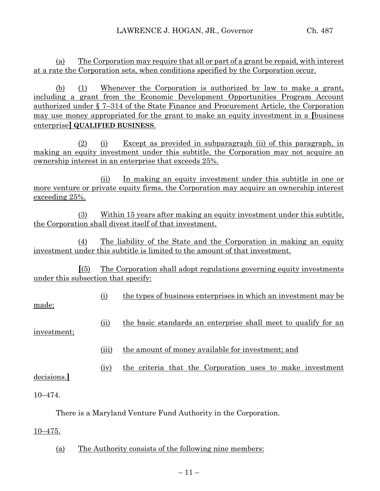(a) The Corporation may require that all or part of a grant be repaid, with interest at a rate the Corporation sets, when conditions specified by the Corporation occur.

(b) (1) Whenever the Corporation is authorized by law to make a grant, including a grant from the Economic Development Opportunities Program Account authorized under § 7–314 of the State Finance and Procurement Article, the Corporation may use money appropriated for the grant to make an equity investment in a **[**business enterprise**] QUALIFIED BUSINESS**.

(2) (i) Except as provided in subparagraph (ii) of this paragraph, in making an equity investment under this subtitle, the Corporation may not acquire an ownership interest in an enterprise that exceeds 25%.

(ii) In making an equity investment under this subtitle in one or more venture or private equity firms, the Corporation may acquire an ownership interest exceeding 25%.

(3) Within 15 years after making an equity investment under this subtitle, the Corporation shall divest itself of that investment.

(4) The liability of the State and the Corporation in making an equity investment under this subtitle is limited to the amount of that investment.

**[**(5) The Corporation shall adopt regulations governing equity investments under this subsection that specify:

(i) the types of business enterprises in which an investment may be

made;

(ii) the basic standards an enterprise shall meet to qualify for an

investment;

(iii) the amount of money available for investment; and

(iv) the criteria that the Corporation uses to make investment

decisions.**]**

10–474.

There is a Maryland Venture Fund Authority in the Corporation.

10–475.

(a) The Authority consists of the following nine members: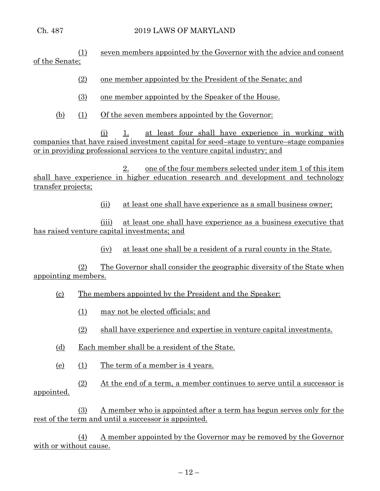(1) seven members appointed by the Governor with the advice and consent of the Senate;

- (2) one member appointed by the President of the Senate; and
- (3) one member appointed by the Speaker of the House.
- (b) (1) Of the seven members appointed by the Governor:

(i) 1. at least four shall have experience in working with companies that have raised investment capital for seed–stage to venture–stage companies or in providing professional services to the venture capital industry; and

2. one of the four members selected under item 1 of this item shall have experience in higher education research and development and technology transfer projects;

(ii) at least one shall have experience as a small business owner;

(iii) at least one shall have experience as a business executive that has raised venture capital investments; and

(iv) at least one shall be a resident of a rural county in the State.

(2) The Governor shall consider the geographic diversity of the State when appointing members.

- (c) The members appointed by the President and the Speaker:
	- (1) may not be elected officials; and
	- (2) shall have experience and expertise in venture capital investments.
- (d) Each member shall be a resident of the State.
- (e) (1) The term of a member is 4 years.
- (2) At the end of a term, a member continues to serve until a successor is appointed.

(3) A member who is appointed after a term has begun serves only for the rest of the term and until a successor is appointed.

(4) A member appointed by the Governor may be removed by the Governor with or without cause.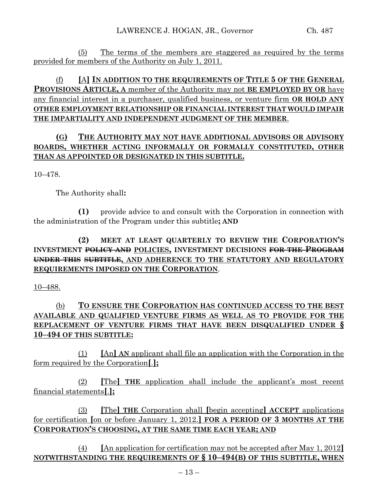(5) The terms of the members are staggered as required by the terms provided for members of the Authority on July 1, 2011.

# (f) **[**A**] IN ADDITION TO THE REQUIREMENTS OF TITLE 5 OF THE GENERAL PROVISIONS ARTICLE, A** member of the Authority may not **BE EMPLOYED BY OR** have any financial interest in a purchaser, qualified business, or venture firm **OR HOLD ANY OTHER EMPLOYMENT RELATIONSHIP OR FINANCIAL INTEREST THAT WOULD IMPAIR THE IMPARTIALITY AND INDEPENDENT JUDGMENT OF THE MEMBER**.

# **(G) THE AUTHORITY MAY NOT HAVE ADDITIONAL ADVISORS OR ADVISORY BOARDS, WHETHER ACTING INFORMALLY OR FORMALLY CONSTITUTED, OTHER THAN AS APPOINTED OR DESIGNATED IN THIS SUBTITLE.**

10–478.

The Authority shall**:**

**(1)** provide advice to and consult with the Corporation in connection with the administration of the Program under this subtitle**; AND**

# **(2) MEET AT LEAST QUARTERLY TO REVIEW THE CORPORATION'S INVESTMENT POLICY AND POLICIES, INVESTMENT DECISIONS FOR THE PROGRAM UNDER THIS SUBTITLE, AND ADHERENCE TO THE STATUTORY AND REGULATORY REQUIREMENTS IMPOSED ON THE CORPORATION**.

10–488.

# (b) **TO ENSURE THE CORPORATION HAS CONTINUED ACCESS TO THE BEST AVAILABLE AND QUALIFIED VENTURE FIRMS AS WELL AS TO PROVIDE FOR THE REPLACEMENT OF VENTURE FIRMS THAT HAVE BEEN DISQUALIFIED UNDER § 10–494 OF THIS SUBTITLE:**

(1) **[**An**] AN** applicant shall file an application with the Corporation in the form required by the Corporation**[**.**];**

(2) **[**The**] THE** application shall include the applicant's most recent financial statements**[**.**];**

(3) **[**The**] THE** Corporation shall **[**begin accepting**] ACCEPT** applications for certification **[**on or before January 1, 2012.**] FOR A PERIOD OF 3 MONTHS AT THE CORPORATION'S CHOOSING, AT THE SAME TIME EACH YEAR; AND**

(4) **[**An application for certification may not be accepted after May 1, 2012**] NOTWITHSTANDING THE REQUIREMENTS OF § 10–494(B) OF THIS SUBTITLE, WHEN**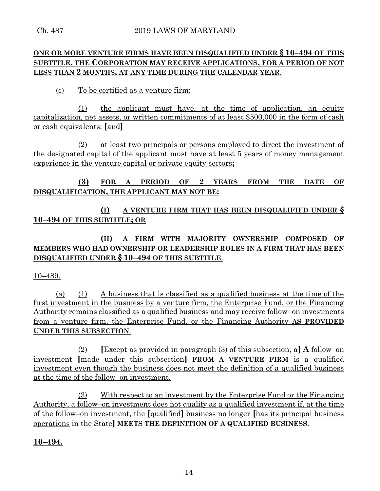# **ONE OR MORE VENTURE FIRMS HAVE BEEN DISQUALIFIED UNDER § 10–494 OF THIS SUBTITLE, THE CORPORATION MAY RECEIVE APPLICATIONS, FOR A PERIOD OF NOT LESS THAN 2 MONTHS, AT ANY TIME DURING THE CALENDAR YEAR**.

(c) To be certified as a venture firm:

(1) the applicant must have, at the time of application, an equity capitalization, net assets, or written commitments of at least \$500,000 in the form of cash or cash equivalents; **[**and**]**

(2) at least two principals or persons employed to direct the investment of the designated capital of the applicant must have at least 5 years of money management experience in the venture capital or private equity sectors**;**

# **(3) FOR A PERIOD OF 2 YEARS FROM THE DATE OF DISQUALIFICATION, THE APPLICANT MAY NOT BE:**

# **(I) A VENTURE FIRM THAT HAS BEEN DISQUALIFIED UNDER § 10–494 OF THIS SUBTITLE; OR**

# **(II) A FIRM WITH MAJORITY OWNERSHIP COMPOSED OF MEMBERS WHO HAD OWNERSHIP OR LEADERSHIP ROLES IN A FIRM THAT HAS BEEN DISQUALIFIED UNDER § 10–494 OF THIS SUBTITLE**.

10–489.

(a) (1) A business that is classified as a qualified business at the time of the first investment in the business by a venture firm, the Enterprise Fund, or the Financing Authority remains classified as a qualified business and may receive follow–on investments from a venture firm, the Enterprise Fund, or the Financing Authority **AS PROVIDED UNDER THIS SUBSECTION**.

(2) **[**Except as provided in paragraph (3) of this subsection, a**] A** follow–on investment **[**made under this subsection**] FROM A VENTURE FIRM** is a qualified investment even though the business does not meet the definition of a qualified business at the time of the follow–on investment.

(3) With respect to an investment by the Enterprise Fund or the Financing Authority, a follow–on investment does not qualify as a qualified investment if, at the time of the follow–on investment, the **[**qualified**]** business no longer **[**has its principal business operations in the State**] MEETS THE DEFINITION OF A QUALIFIED BUSINESS**.

## **10–494.**